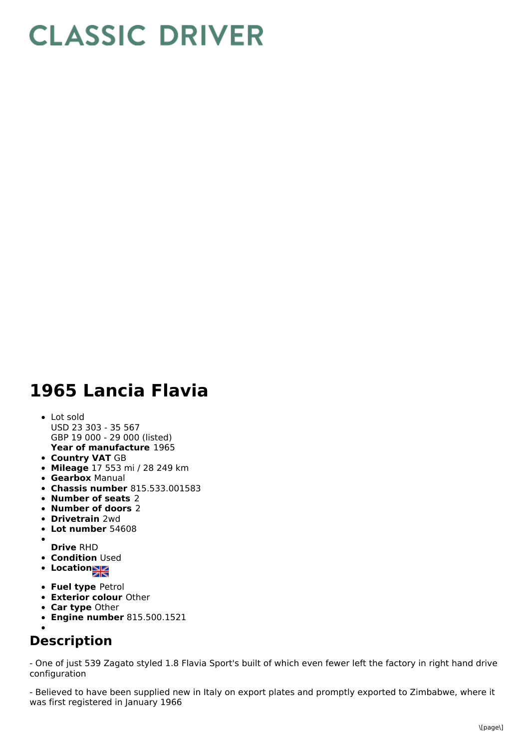## **CLASSIC DRIVER**

## **1965 Lancia Flavia**

- **Year of manufacture** 1965 Lot sold USD 23 303 - 35 567 GBP 19 000 - 29 000 (listed)
- **Country VAT** GB
- **Mileage** 17 553 mi / 28 249 km
- **Gearbox** Manual
- **Chassis number** 815.533.001583
- **Number of seats** 2
- **Number of doors** 2
- **Drivetrain** 2wd
- **Lot number** 54608
- 
- **Drive** RHD
- **Condition Used**
- Location<sub>a</sub>
- **Fuel type** Petrol
- **Exterior colour** Other
- **Car type** Other
- **Engine number** 815.500.1521

## **Description**

- One of just 539 Zagato styled 1.8 Flavia Sport's built of which even fewer left the factory in right hand drive configuration

- Believed to have been supplied new in Italy on export plates and promptly exported to Zimbabwe, where it was first registered in January 1966